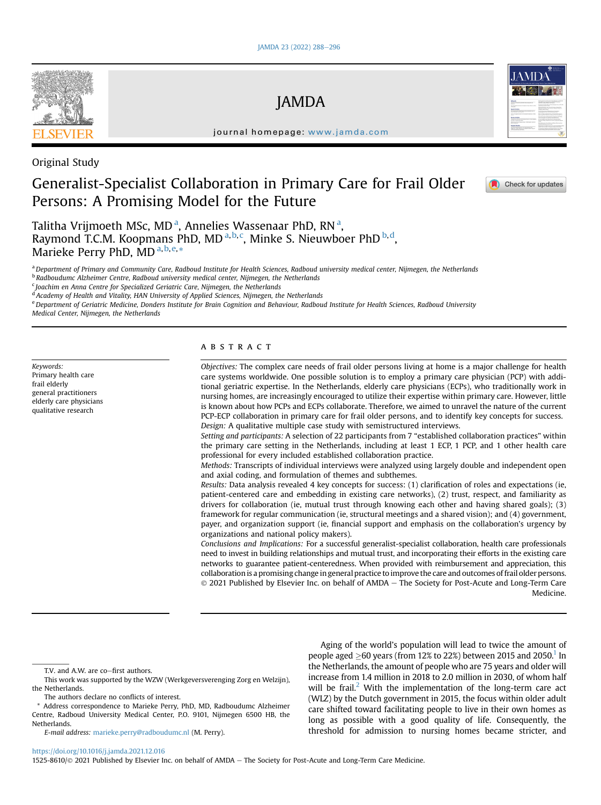# JAMDA

journal homepage: [www.jamda.com](http://www.jamda.com)

Original Study

## Generalist-Specialist Collaboration in Primary Care for Frail Older Persons: A Promising Model for the Future



## Check for updates

T[a](#page-0-0)litha Vrijmoeth MSc, MD<sup>a</sup>, Annelies Wassenaar PhD, RN<sup>a</sup>, Raymond T.C.M. Koopmans PhD, MD <sup>[a,](#page-0-0) [b](#page-0-1), [c](#page-0-2)</sup>, Minke S. Nieuwboer PhD <sup>[b,](#page-0-1) [d](#page-0-3)</sup>, Marieke Perry PhD, MD<sup>[a,](#page-0-0)[b](#page-0-1),[e](#page-0-4),</sup>[\\*](#page-0-5)

<span id="page-0-0"></span><sup>a</sup> Department of Primary and Community Care, Radboud Institute for Health Sciences, Radboud university medical center, Nijmegen, the Netherlands

<span id="page-0-1"></span><sup>b</sup> Radboudumc Alzheimer Centre, Radboud university medical center, Nijmegen, the Netherlands

<span id="page-0-2"></span><sup>c</sup> Joachim en Anna Centre for Specialized Geriatric Care, Nijmegen, the Netherlands

<span id="page-0-3"></span><sup>d</sup> Academy of Health and Vitality, HAN University of Applied Sciences, Nijmegen, the Netherlands

<span id="page-0-4"></span>e Department of Geriatric Medicine, Donders Institute for Brain Cognition and Behaviour, Radboud Institute for Health Sciences, Radboud University

Medical Center, Nijmegen, the Netherlands

Keywords: Primary health care frail elderly general practitioners elderly care physicians qualitative research

## ABSTRACT

Objectives: The complex care needs of frail older persons living at home is a major challenge for health care systems worldwide. One possible solution is to employ a primary care physician (PCP) with additional geriatric expertise. In the Netherlands, elderly care physicians (ECPs), who traditionally work in nursing homes, are increasingly encouraged to utilize their expertise within primary care. However, little is known about how PCPs and ECPs collaborate. Therefore, we aimed to unravel the nature of the current PCP-ECP collaboration in primary care for frail older persons, and to identify key concepts for success. Design: A qualitative multiple case study with semistructured interviews.

Setting and participants: A selection of 22 participants from 7 "established collaboration practices" within the primary care setting in the Netherlands, including at least 1 ECP, 1 PCP, and 1 other health care professional for every included established collaboration practice.

Methods: Transcripts of individual interviews were analyzed using largely double and independent open and axial coding, and formulation of themes and subthemes.

Results: Data analysis revealed 4 key concepts for success: (1) clarification of roles and expectations (ie, patient-centered care and embedding in existing care networks), (2) trust, respect, and familiarity as drivers for collaboration (ie, mutual trust through knowing each other and having shared goals); (3) framework for regular communication (ie, structural meetings and a shared vision); and (4) government, payer, and organization support (ie, financial support and emphasis on the collaboration's urgency by organizations and national policy makers).

Conclusions and Implications: For a successful generalist-specialist collaboration, health care professionals need to invest in building relationships and mutual trust, and incorporating their efforts in the existing care networks to guarantee patient-centeredness. When provided with reimbursement and appreciation, this collaboration is a promising change in general practice to improve the care and outcomes of frail older persons.  $\odot$  2021 Published by Elsevier Inc. on behalf of AMDA - The Society for Post-Acute and Long-Term Care Medicine.

 $T.V.$  and  $A.W.$  are co $-first$  authors.

Aging of the world's population will lead to twice the amount of people aged  $\geq$  60 years (from 12% to 22%) between 2015 and 2050.<sup>1</sup> In the Netherlands, the amount of people who are 75 years and older will increase from 1.4 million in 2018 to 2.0 million in 2030, of whom half will be frail.<sup>[2](#page-7-1)</sup> With the implementation of the long-term care act (WLZ) by the Dutch government in 2015, the focus within older adult care shifted toward facilitating people to live in their own homes as long as possible with a good quality of life. Consequently, the threshold for admission to nursing homes became stricter, and

<https://doi.org/10.1016/j.jamda.2021.12.016>

1525-8610/© 2021 Published by Elsevier Inc. on behalf of AMDA - The Society for Post-Acute and Long-Term Care Medicine.



This work was supported by the WZW (Werkgeversverenging Zorg en Welzijn), the Netherlands.

The authors declare no conflicts of interest.

<span id="page-0-5"></span><sup>\*</sup> Address correspondence to Marieke Perry, PhD, MD, Radboudumc Alzheimer Centre, Radboud University Medical Center, P.O. 9101, Nijmegen 6500 HB, the Netherlands.

E-mail address: [marieke.perry@radboudumc.nl](mailto:marieke.perry@radboudumc.nl) (M. Perry).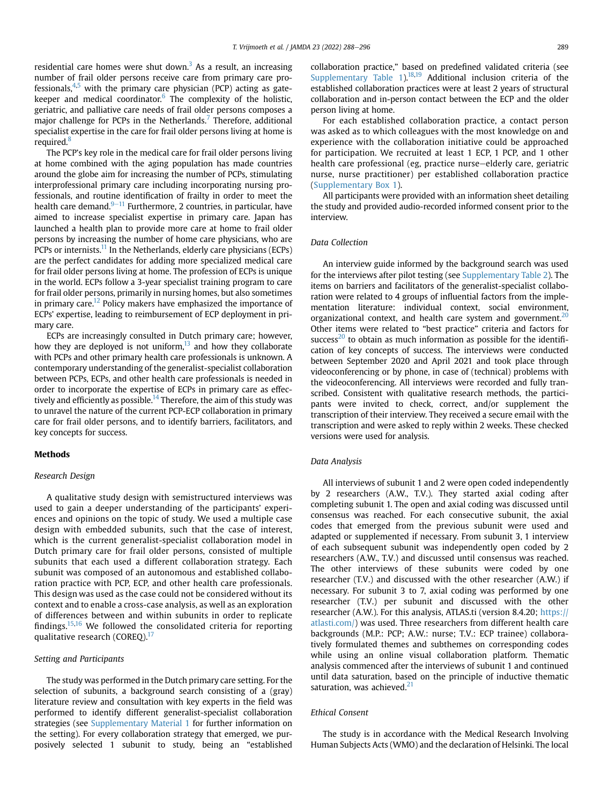residential care homes were shut down.<sup>[3](#page-7-2)</sup> As a result, an increasing number of frail older persons receive care from primary care professionals, $4.5$  with the primary care physician (PCP) acting as gatekeeper and medical coordinator. $6$  The complexity of the holistic, geriatric, and palliative care needs of frail older persons composes a major challenge for PCPs in the Netherlands.<sup>7</sup> Therefore, additional specialist expertise in the care for frail older persons living at home is required.<sup>8</sup>

The PCP's key role in the medical care for frail older persons living at home combined with the aging population has made countries around the globe aim for increasing the number of PCPs, stimulating interprofessional primary care including incorporating nursing professionals, and routine identification of frailty in order to meet the health care demand. $9-11$  $9-11$  $9-11$  Furthermore, 2 countries, in particular, have aimed to increase specialist expertise in primary care. Japan has launched a health plan to provide more care at home to frail older persons by increasing the number of home care physicians, who are PCPs or internists.<sup>[11](#page-7-9)</sup> In the Netherlands, elderly care physicians (ECPs) are the perfect candidates for adding more specialized medical care for frail older persons living at home. The profession of ECPs is unique in the world. ECPs follow a 3-year specialist training program to care for frail older persons, primarily in nursing homes, but also sometimes in primary care.<sup>12</sup> Policy makers have emphasized the importance of ECPs' expertise, leading to reimbursement of ECP deployment in primary care.

ECPs are increasingly consulted in Dutch primary care; however, how they are deployed is not uniform, $13$  and how they collaborate with PCPs and other primary health care professionals is unknown. A contemporary understanding of the generalist-specialist collaboration between PCPs, ECPs, and other health care professionals is needed in order to incorporate the expertise of ECPs in primary care as effec-tively and efficiently as possible.<sup>[14](#page-7-12)</sup> Therefore, the aim of this study was to unravel the nature of the current PCP-ECP collaboration in primary care for frail older persons, and to identify barriers, facilitators, and key concepts for success.

#### **Methods**

#### Research Design

A qualitative study design with semistructured interviews was used to gain a deeper understanding of the participants' experiences and opinions on the topic of study. We used a multiple case design with embedded subunits, such that the case of interest, which is the current generalist-specialist collaboration model in Dutch primary care for frail older persons, consisted of multiple subunits that each used a different collaboration strategy. Each subunit was composed of an autonomous and established collaboration practice with PCP, ECP, and other health care professionals. This design was used as the case could not be considered without its context and to enable a cross-case analysis, as well as an exploration of differences between and within subunits in order to replicate findings.<sup>[15](#page-7-13),[16](#page-7-14)</sup> We followed the consolidated criteria for reporting qualitative research (COREQ).<sup>[17](#page-7-15)</sup>

#### Setting and Participants

The study was performed in the Dutch primary care setting. For the selection of subunits, a background search consisting of a (gray) literature review and consultation with key experts in the field was performed to identify different generalist-specialist collaboration strategies (see [Supplementary Material 1](#page-8-0) for further information on the setting). For every collaboration strategy that emerged, we purposively selected 1 subunit to study, being an "established collaboration practice," based on predefined validated criteria (see Supplementary Table  $1$ ).<sup>18,[19](#page-7-17)</sup> Additional inclusion criteria of the established collaboration practices were at least 2 years of structural collaboration and in-person contact between the ECP and the older person living at home.

For each established collaboration practice, a contact person was asked as to which colleagues with the most knowledge on and experience with the collaboration initiative could be approached for participation. We recruited at least 1 ECP, 1 PCP, and 1 other health care professional (eg, practice nurse-elderly care, geriatric nurse, nurse practitioner) per established collaboration practice (Supplementary Box 1).

All participants were provided with an information sheet detailing the study and provided audio-recorded informed consent prior to the interview.

## Data Collection

An interview guide informed by the background search was used for the interviews after pilot testing (see [Supplementary Table 2](#page-10-1)). The items on barriers and facilitators of the generalist-specialist collaboration were related to 4 groups of influential factors from the implementation literature: individual context, social environment, organizational context, and health care system and government.<sup>[20](#page-7-18)</sup> Other items were related to "best practice" criteria and factors for success<sup>20</sup> to obtain as much information as possible for the identification of key concepts of success. The interviews were conducted between September 2020 and April 2021 and took place through videoconferencing or by phone, in case of (technical) problems with the videoconferencing. All interviews were recorded and fully transcribed. Consistent with qualitative research methods, the participants were invited to check, correct, and/or supplement the transcription of their interview. They received a secure email with the transcription and were asked to reply within 2 weeks. These checked versions were used for analysis.

#### Data Analysis

All interviews of subunit 1 and 2 were open coded independently by 2 researchers (A.W., T.V.). They started axial coding after completing subunit 1. The open and axial coding was discussed until consensus was reached. For each consecutive subunit, the axial codes that emerged from the previous subunit were used and adapted or supplemented if necessary. From subunit 3, 1 interview of each subsequent subunit was independently open coded by 2 researchers (A.W., T.V.) and discussed until consensus was reached. The other interviews of these subunits were coded by one researcher (T.V.) and discussed with the other researcher (A.W.) if necessary. For subunit 3 to 7, axial coding was performed by one researcher (T.V.) per subunit and discussed with the other researcher (A.W.). For this analysis, ATLAS.ti (version 8.4.20; [https://](https://atlasti.com/) [atlasti.com/](https://atlasti.com/)) was used. Three researchers from different health care backgrounds (M.P.: PCP; A.W.: nurse; T.V.: ECP trainee) collaboratively formulated themes and subthemes on corresponding codes while using an online visual collaboration platform. Thematic analysis commenced after the interviews of subunit 1 and continued until data saturation, based on the principle of inductive thematic saturation, was achieved. $21$ 

#### Ethical Consent

The study is in accordance with the Medical Research Involving Human Subjects Acts (WMO) and the declaration of Helsinki. The local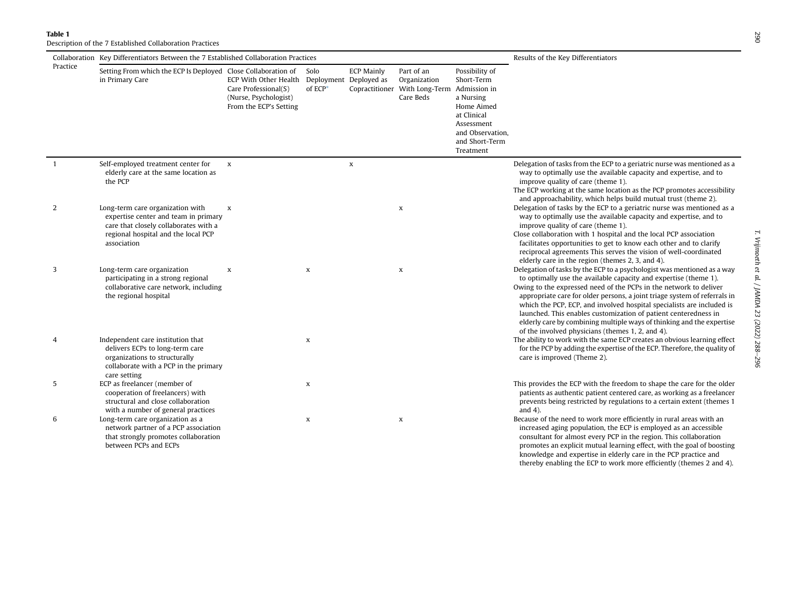Table 1

Description of the 7 Established Collaboration Practices

<span id="page-2-0"></span>

|                | Collaboration Key Differentiators Between the 7 Established Collaboration Practices                                                                                     |                                                                                                                         | Results of the Key Differentiators |                   |                                                                                       |                                                                                                                                         |                                                                                                                                                                                                                                                                                                                                                                                                                                                                                                                                                                        |
|----------------|-------------------------------------------------------------------------------------------------------------------------------------------------------------------------|-------------------------------------------------------------------------------------------------------------------------|------------------------------------|-------------------|---------------------------------------------------------------------------------------|-----------------------------------------------------------------------------------------------------------------------------------------|------------------------------------------------------------------------------------------------------------------------------------------------------------------------------------------------------------------------------------------------------------------------------------------------------------------------------------------------------------------------------------------------------------------------------------------------------------------------------------------------------------------------------------------------------------------------|
| Practice       | Setting From which the ECP Is Deployed Close Collaboration of<br>in Primary Care                                                                                        | ECP With Other Health Deployment Deployed as<br>Care Professional(S)<br>(Nurse, Psychologist)<br>From the ECP's Setting | Solo<br>of ECP*                    | <b>ECP Mainly</b> | Part of an<br>Organization<br>Copractitioner With Long-Term Admission in<br>Care Beds | Possibility of<br>Short-Term<br>a Nursing<br>Home Aimed<br>at Clinical<br>Assessment<br>and Observation,<br>and Short-Term<br>Treatment |                                                                                                                                                                                                                                                                                                                                                                                                                                                                                                                                                                        |
| $\overline{1}$ | Self-employed treatment center for<br>elderly care at the same location as<br>the PCP                                                                                   | $\mathbf x$                                                                                                             |                                    | $\mathbf x$       |                                                                                       |                                                                                                                                         | Delegation of tasks from the ECP to a geriatric nurse was mentioned as a<br>way to optimally use the available capacity and expertise, and to<br>improve quality of care (theme 1).<br>The ECP working at the same location as the PCP promotes accessibility<br>and approachability, which helps build mutual trust (theme 2).                                                                                                                                                                                                                                        |
| 2              | Long-term care organization with<br>expertise center and team in primary<br>care that closely collaborates with a<br>regional hospital and the local PCP<br>association | $\mathbf x$                                                                                                             |                                    |                   | $\mathbf x$                                                                           |                                                                                                                                         | Delegation of tasks by the ECP to a geriatric nurse was mentioned as a<br>way to optimally use the available capacity and expertise, and to<br>improve quality of care (theme 1).<br>Close collaboration with 1 hospital and the local PCP association<br>facilitates opportunities to get to know each other and to clarify<br>reciprocal agreements This serves the vision of well-coordinated<br>elderly care in the region (themes 2, 3, and 4).                                                                                                                   |
| 3              | Long-term care organization<br>participating in a strong regional<br>collaborative care network, including<br>the regional hospital                                     | $\mathbf x$                                                                                                             | X                                  |                   | $\mathbf x$                                                                           |                                                                                                                                         | Delegation of tasks by the ECP to a psychologist was mentioned as a way<br>to optimally use the available capacity and expertise (theme 1).<br>Owing to the expressed need of the PCPs in the network to deliver<br>appropriate care for older persons, a joint triage system of referrals in<br>which the PCP, ECP, and involved hospital specialists are included is<br>launched. This enables customization of patient centeredness in<br>elderly care by combining multiple ways of thinking and the expertise<br>of the involved physicians (themes 1, 2, and 4). |
| 4              | Independent care institution that<br>delivers ECPs to long-term care<br>organizations to structurally<br>collaborate with a PCP in the primary<br>care setting          |                                                                                                                         | $\,$ X                             |                   |                                                                                       |                                                                                                                                         | The ability to work with the same ECP creates an obvious learning effect<br>for the PCP by adding the expertise of the ECP. Therefore, the quality of<br>care is improved (Theme 2).                                                                                                                                                                                                                                                                                                                                                                                   |
| 5              | ECP as freelancer (member of<br>cooperation of freelancers) with<br>structural and close collaboration<br>with a number of general practices                            |                                                                                                                         | $\boldsymbol{\mathsf{x}}$          |                   |                                                                                       |                                                                                                                                         | This provides the ECP with the freedom to shape the care for the older<br>patients as authentic patient centered care, as working as a freelancer<br>prevents being restricted by regulations to a certain extent (themes 1<br>and $4$ ).                                                                                                                                                                                                                                                                                                                              |
| 6              | Long-term care organization as a<br>network partner of a PCP association<br>that strongly promotes collaboration<br>between PCPs and ECPs                               |                                                                                                                         | X                                  |                   | $\mathbf x$                                                                           |                                                                                                                                         | Because of the need to work more efficiently in rural areas with an<br>increased aging population, the ECP is employed as an accessible<br>consultant for almost every PCP in the region. This collaboration<br>promotes an explicit mutual learning effect, with the goal of boosting<br>knowledge and expertise in elderly care in the PCP practice and                                                                                                                                                                                                              |

thereby enabling the ECP to work more efficiently (themes 2 and 4).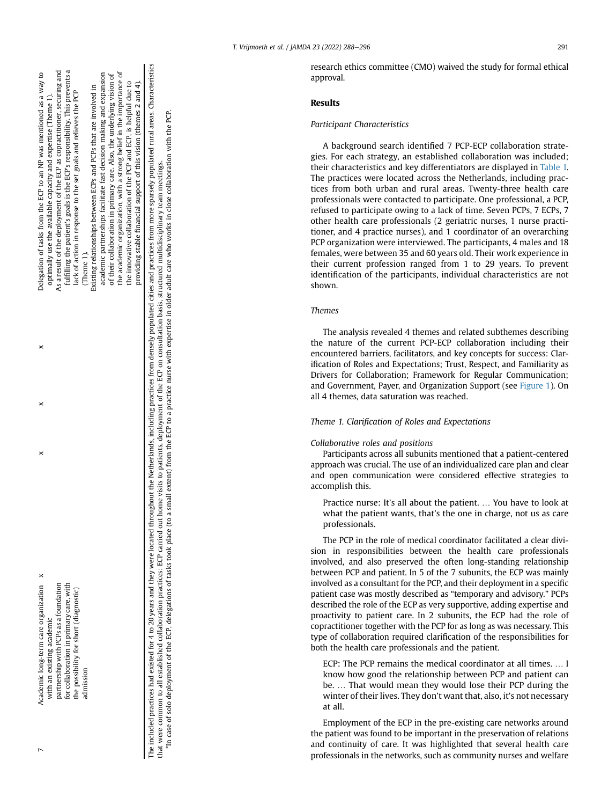| Academic long-term care organization                                                                                                                                                                                                                                                                                                                                                                                                                                                                                                                                                                                                               |  | Delegation of tasks from the ECP to an NP was mentioned as a way to         |
|----------------------------------------------------------------------------------------------------------------------------------------------------------------------------------------------------------------------------------------------------------------------------------------------------------------------------------------------------------------------------------------------------------------------------------------------------------------------------------------------------------------------------------------------------------------------------------------------------------------------------------------------------|--|-----------------------------------------------------------------------------|
| with an existing academic                                                                                                                                                                                                                                                                                                                                                                                                                                                                                                                                                                                                                          |  | optimally use the available capacity and expertise (Theme 1).               |
| partnership with PCPs as a foundation                                                                                                                                                                                                                                                                                                                                                                                                                                                                                                                                                                                                              |  | As a result of the deployment of the ECP as copractitioner, securing and    |
| for collaboration in primary care, with                                                                                                                                                                                                                                                                                                                                                                                                                                                                                                                                                                                                            |  | fulfilling the patient's goals is the ECP's responsibility. This prevents a |
| the possibility for short (diagnostic)                                                                                                                                                                                                                                                                                                                                                                                                                                                                                                                                                                                                             |  | lack of action in response to the set goals and relieves the PCP            |
| admission                                                                                                                                                                                                                                                                                                                                                                                                                                                                                                                                                                                                                                          |  | (Theme 1).                                                                  |
|                                                                                                                                                                                                                                                                                                                                                                                                                                                                                                                                                                                                                                                    |  | Existing relationships between ECPs and PCPs that are involved in           |
|                                                                                                                                                                                                                                                                                                                                                                                                                                                                                                                                                                                                                                                    |  | academic partnerships facilitate fast decision making and expansion         |
|                                                                                                                                                                                                                                                                                                                                                                                                                                                                                                                                                                                                                                                    |  | of their collaboration in primary care. Also, the underlying vision of      |
|                                                                                                                                                                                                                                                                                                                                                                                                                                                                                                                                                                                                                                                    |  | the academic organization, with a strong belief in the importance of        |
|                                                                                                                                                                                                                                                                                                                                                                                                                                                                                                                                                                                                                                                    |  | the innovative collaboration of the PCP and ECP, is helpful due to          |
|                                                                                                                                                                                                                                                                                                                                                                                                                                                                                                                                                                                                                                                    |  | providing stable financial support of this vision (themes 2 and 4).         |
| The included practices had existed for 4 to 20 years and they were located throughout the Netherlands, including practices from densely populated cities and practices from more sparsely populated nural areas. Characteristi<br>*in case of solo deployment of the ECP, delegations of tasks took place (to a small extent) from the ECP to a practice nurse with expertise in older adult care who works in close collaboration with the PCP.<br>that were common to all established collaboration practices: ECP carried out home visits to patients, deployment of the ECP on consultation basis, structured multidisciplinary team meetings. |  |                                                                             |

research ethics committee (CMO) waived the study for formal ethical approval.

## Results

#### Participant Characteristics

A background search identified 7 PCP-ECP collaboration strategies. For each strategy, an established collaboration was included; their characteristics and key differentiators are displayed in [Table 1.](#page-2-0) The practices were located across the Netherlands, including practices from both urban and rural areas. Twenty-three health care professionals were contacted to participate. One professional, a PCP, refused to participate owing to a lack of time. Seven PCPs, 7 ECPs, 7 other health care professionals (2 geriatric nurses, 1 nurse practitioner, and 4 practice nurses), and 1 coordinator of an overarching PCP organization were interviewed. The participants, 4 males and 18 females, were between 35 and 60 years old. Their work experience in their current profession ranged from 1 to 29 years. To prevent identification of the participants, individual characteristics are not shown.

#### Themes

The analysis revealed 4 themes and related subthemes describing the nature of the current PCP-ECP collaboration including their encountered barriers, facilitators, and key concepts for success: Clarification of Roles and Expectations; Trust, Respect, and Familiarity as Drivers for Collaboration; Framework for Regular Communication; and Government, Payer, and Organization Support (see [Figure 1\)](#page-4-0). On all 4 themes, data saturation was reached.

### Theme 1. Clarification of Roles and Expectations

## Collaborative roles and positions

Participants across all subunits mentioned that a patient-centered approach was crucial. The use of an individualized care plan and clear and open communication were considered effective strategies to accomplish this.

Practice nurse: It's all about the patient. ... You have to look at what the patient wants, that's the one in charge, not us as care professionals.

The PCP in the role of medical coordinator facilitated a clear division in responsibilities between the health care professionals involved, and also preserved the often long-standing relationship between PCP and patient. In 5 of the 7 subunits, the ECP was mainly involved as a consultant for the PCP, and their deployment in a specific patient case was mostly described as "temporary and advisory." PCPs described the role of the ECP as very supportive, adding expertise and proactivity to patient care. In 2 subunits, the ECP had the role of copractitioner together with the PCP for as long as was necessary. This type of collaboration required clarification of the responsibilities for both the health care professionals and the patient.

ECP: The PCP remains the medical coordinator at all times. ... I know how good the relationship between PCP and patient can be. ... That would mean they would lose their PCP during the winter of their lives. They don't want that, also, it's not necessary at all.

Employment of the ECP in the pre-existing care networks around the patient was found to be important in the preservation of relations and continuity of care. It was highlighted that several health care professionals in the networks, such as community nurses and welfare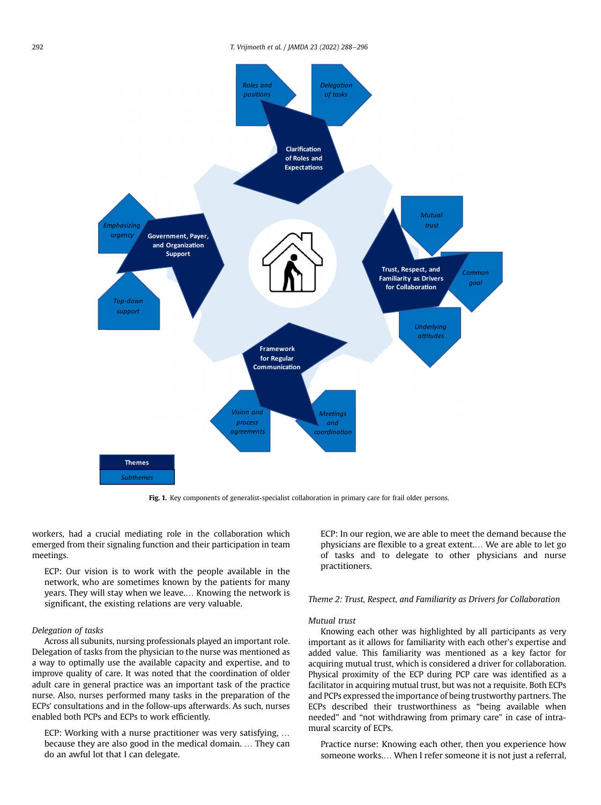<span id="page-4-0"></span>

Fig. 1. Key components of generalist-specialist collaboration in primary care for frail older persons.

workers, had a crucial mediating role in the collaboration which emerged from their signaling function and their participation in team meetings.

ECP: Our vision is to work with the people available in the network, who are sometimes known by the patients for many years. They will stay when we leave.... Knowing the network is significant, the existing relations are very valuable.

#### Delegation of tasks

Across all subunits, nursing professionals played an important role. Delegation of tasks from the physician to the nurse was mentioned as a way to optimally use the available capacity and expertise, and to improve quality of care. It was noted that the coordination of older adult care in general practice was an important task of the practice nurse. Also, nurses performed many tasks in the preparation of the ECPs' consultations and in the follow-ups afterwards. As such, nurses enabled both PCPs and ECPs to work efficiently.

ECP: Working with a nurse practitioner was very satisfying, . because they are also good in the medical domain. ... They can do an awful lot that I can delegate.

ECP: In our region, we are able to meet the demand because the physicians are flexible to a great extent.. We are able to let go of tasks and to delegate to other physicians and nurse practitioners.

## Theme 2: Trust, Respect, and Familiarity as Drivers for Collaboration

#### Mutual trust

Knowing each other was highlighted by all participants as very important as it allows for familiarity with each other's expertise and added value. This familiarity was mentioned as a key factor for acquiring mutual trust, which is considered a driver for collaboration. Physical proximity of the ECP during PCP care was identified as a facilitator in acquiring mutual trust, but was not a requisite. Both ECPs and PCPs expressed the importance of being trustworthy partners. The ECPs described their trustworthiness as "being available when needed" and "not withdrawing from primary care" in case of intramural scarcity of ECPs.

Practice nurse: Knowing each other, then you experience how someone works.... When I refer someone it is not just a referral,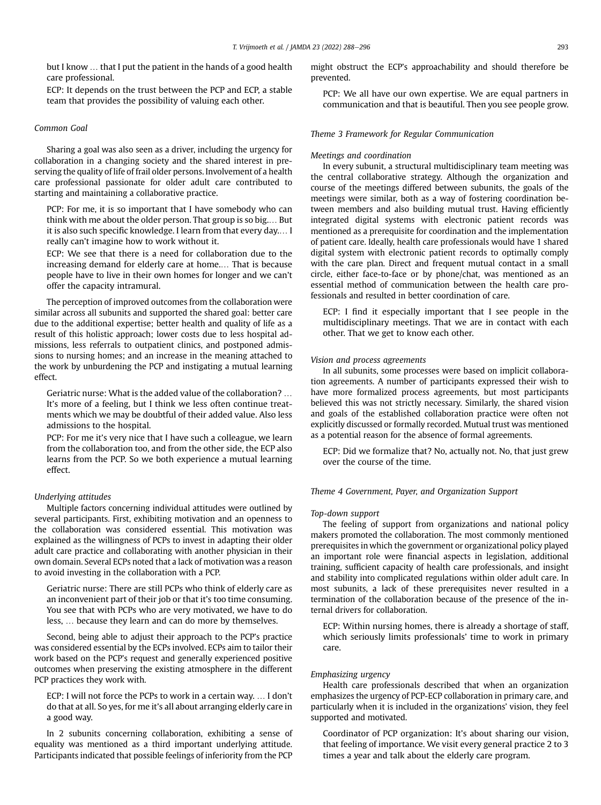but I know ... that I put the patient in the hands of a good health care professional.

ECP: It depends on the trust between the PCP and ECP, a stable team that provides the possibility of valuing each other.

#### Common Goal

Sharing a goal was also seen as a driver, including the urgency for collaboration in a changing society and the shared interest in preserving the quality of life of frail older persons. Involvement of a health care professional passionate for older adult care contributed to starting and maintaining a collaborative practice.

PCP: For me, it is so important that I have somebody who can think with me about the older person. That group is so big.... But it is also such specific knowledge. I learn from that every day.... I really can't imagine how to work without it.

ECP: We see that there is a need for collaboration due to the increasing demand for elderly care at home.... That is because people have to live in their own homes for longer and we can't offer the capacity intramural.

The perception of improved outcomes from the collaboration were similar across all subunits and supported the shared goal: better care due to the additional expertise; better health and quality of life as a result of this holistic approach; lower costs due to less hospital admissions, less referrals to outpatient clinics, and postponed admissions to nursing homes; and an increase in the meaning attached to the work by unburdening the PCP and instigating a mutual learning effect.

Geriatric nurse: What is the added value of the collaboration? . It's more of a feeling, but I think we less often continue treatments which we may be doubtful of their added value. Also less admissions to the hospital.

PCP: For me it's very nice that I have such a colleague, we learn from the collaboration too, and from the other side, the ECP also learns from the PCP. So we both experience a mutual learning effect.

#### Underlying attitudes

Multiple factors concerning individual attitudes were outlined by several participants. First, exhibiting motivation and an openness to the collaboration was considered essential. This motivation was explained as the willingness of PCPs to invest in adapting their older adult care practice and collaborating with another physician in their own domain. Several ECPs noted that a lack of motivation was a reason to avoid investing in the collaboration with a PCP.

Geriatric nurse: There are still PCPs who think of elderly care as an inconvenient part of their job or that it's too time consuming. You see that with PCPs who are very motivated, we have to do less, ... because they learn and can do more by themselves.

Second, being able to adjust their approach to the PCP's practice was considered essential by the ECPs involved. ECPs aim to tailor their work based on the PCP's request and generally experienced positive outcomes when preserving the existing atmosphere in the different PCP practices they work with.

ECP: I will not force the PCPs to work in a certain way. ... I don't do that at all. So yes, for me it's all about arranging elderly care in a good way.

In 2 subunits concerning collaboration, exhibiting a sense of equality was mentioned as a third important underlying attitude. Participants indicated that possible feelings of inferiority from the PCP might obstruct the ECP's approachability and should therefore be prevented.

PCP: We all have our own expertise. We are equal partners in communication and that is beautiful. Then you see people grow.

## Theme 3 Framework for Regular Communication

#### Meetings and coordination

In every subunit, a structural multidisciplinary team meeting was the central collaborative strategy. Although the organization and course of the meetings differed between subunits, the goals of the meetings were similar, both as a way of fostering coordination between members and also building mutual trust. Having efficiently integrated digital systems with electronic patient records was mentioned as a prerequisite for coordination and the implementation of patient care. Ideally, health care professionals would have 1 shared digital system with electronic patient records to optimally comply with the care plan. Direct and frequent mutual contact in a small circle, either face-to-face or by phone/chat, was mentioned as an essential method of communication between the health care professionals and resulted in better coordination of care.

ECP: I find it especially important that I see people in the multidisciplinary meetings. That we are in contact with each other. That we get to know each other.

#### Vision and process agreements

In all subunits, some processes were based on implicit collaboration agreements. A number of participants expressed their wish to have more formalized process agreements, but most participants believed this was not strictly necessary. Similarly, the shared vision and goals of the established collaboration practice were often not explicitly discussed or formally recorded. Mutual trust was mentioned as a potential reason for the absence of formal agreements.

ECP: Did we formalize that? No, actually not. No, that just grew over the course of the time.

#### Theme 4 Government, Payer, and Organization Support

#### Top-down support

The feeling of support from organizations and national policy makers promoted the collaboration. The most commonly mentioned prerequisites in which the government or organizational policy played an important role were financial aspects in legislation, additional training, sufficient capacity of health care professionals, and insight and stability into complicated regulations within older adult care. In most subunits, a lack of these prerequisites never resulted in a termination of the collaboration because of the presence of the internal drivers for collaboration.

ECP: Within nursing homes, there is already a shortage of staff, which seriously limits professionals' time to work in primary care.

#### Emphasizing urgency

Health care professionals described that when an organization emphasizes the urgency of PCP-ECP collaboration in primary care, and particularly when it is included in the organizations' vision, they feel supported and motivated.

Coordinator of PCP organization: It's about sharing our vision, that feeling of importance. We visit every general practice 2 to 3 times a year and talk about the elderly care program.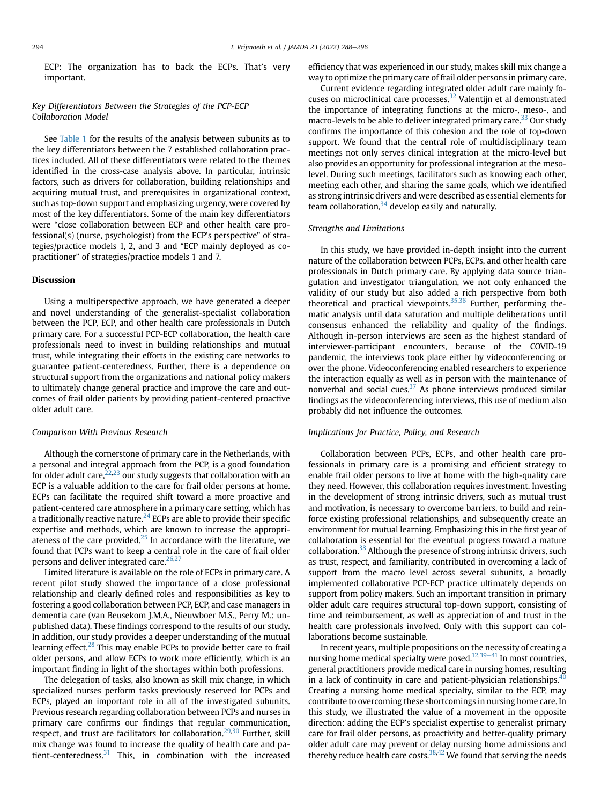ECP: The organization has to back the ECPs. That's very important.

## Key Differentiators Between the Strategies of the PCP-ECP Collaboration Model

See [Table 1](#page-2-0) for the results of the analysis between subunits as to the key differentiators between the 7 established collaboration practices included. All of these differentiators were related to the themes identified in the cross-case analysis above. In particular, intrinsic factors, such as drivers for collaboration, building relationships and acquiring mutual trust, and prerequisites in organizational context, such as top-down support and emphasizing urgency, were covered by most of the key differentiators. Some of the main key differentiators were "close collaboration between ECP and other health care professional(s) (nurse, psychologist) from the ECP's perspective" of strategies/practice models 1, 2, and 3 and "ECP mainly deployed as copractitioner" of strategies/practice models 1 and 7.

#### Discussion

Using a multiperspective approach, we have generated a deeper and novel understanding of the generalist-specialist collaboration between the PCP, ECP, and other health care professionals in Dutch primary care. For a successful PCP-ECP collaboration, the health care professionals need to invest in building relationships and mutual trust, while integrating their efforts in the existing care networks to guarantee patient-centeredness. Further, there is a dependence on structural support from the organizations and national policy makers to ultimately change general practice and improve the care and outcomes of frail older patients by providing patient-centered proactive older adult care.

#### Comparison With Previous Research

Although the cornerstone of primary care in the Netherlands, with a personal and integral approach from the PCP, is a good foundation for older adult care,  $22,23$  $22,23$  our study suggests that collaboration with an ECP is a valuable addition to the care for frail older persons at home. ECPs can facilitate the required shift toward a more proactive and patient-centered care atmosphere in a primary care setting, which has a traditionally reactive nature.<sup>[24](#page-7-22)</sup> ECPs are able to provide their specific expertise and methods, which are known to increase the appropriateness of the care provided. $25$  In accordance with the literature, we found that PCPs want to keep a central role in the care of frail older persons and deliver integrated care.<sup>[26,](#page-7-24)[27](#page-7-25)</sup>

Limited literature is available on the role of ECPs in primary care. A recent pilot study showed the importance of a close professional relationship and clearly defined roles and responsibilities as key to fostering a good collaboration between PCP, ECP, and case managers in dementia care (van Beusekom J.M.A., Nieuwboer M.S., Perry M.: unpublished data). These findings correspond to the results of our study. In addition, our study provides a deeper understanding of the mutual learning effect.<sup>28</sup> This may enable PCPs to provide better care to frail older persons, and allow ECPs to work more efficiently, which is an important finding in light of the shortages within both professions.

The delegation of tasks, also known as skill mix change, in which specialized nurses perform tasks previously reserved for PCPs and ECPs, played an important role in all of the investigated subunits. Previous research regarding collaboration between PCPs and nurses in primary care confirms our findings that regular communication, respect, and trust are facilitators for collaboration.<sup>[29,](#page-7-27)[30](#page-7-28)</sup> Further, skill mix change was found to increase the quality of health care and patient-centeredness. $31$  This, in combination with the increased

efficiency that was experienced in our study, makes skill mix change a way to optimize the primary care of frail older persons in primary care.

Current evidence regarding integrated older adult care mainly focuses on microclinical care processes.<sup>32</sup> Valentijn et al demonstrated the importance of integrating functions at the micro-, meso-, and macro-levels to be able to deliver integrated primary care.<sup>33</sup> Our study confirms the importance of this cohesion and the role of top-down support. We found that the central role of multidisciplinary team meetings not only serves clinical integration at the micro-level but also provides an opportunity for professional integration at the mesolevel. During such meetings, facilitators such as knowing each other, meeting each other, and sharing the same goals, which we identified as strong intrinsic drivers and were described as essential elements for team collaboration, $34$  develop easily and naturally.

#### Strengths and Limitations

In this study, we have provided in-depth insight into the current nature of the collaboration between PCPs, ECPs, and other health care professionals in Dutch primary care. By applying data source triangulation and investigator triangulation, we not only enhanced the validity of our study but also added a rich perspective from both theoretical and practical viewpoints. $35,36$  $35,36$  $35,36$  Further, performing thematic analysis until data saturation and multiple deliberations until consensus enhanced the reliability and quality of the findings. Although in-person interviews are seen as the highest standard of interviewer-participant encounters, because of the COVID-19 pandemic, the interviews took place either by videoconferencing or over the phone. Videoconferencing enabled researchers to experience the interaction equally as well as in person with the maintenance of nonverbal and social cues. $37$  As phone interviews produced similar findings as the videoconferencing interviews, this use of medium also probably did not influence the outcomes.

#### Implications for Practice, Policy, and Research

Collaboration between PCPs, ECPs, and other health care professionals in primary care is a promising and efficient strategy to enable frail older persons to live at home with the high-quality care they need. However, this collaboration requires investment. Investing in the development of strong intrinsic drivers, such as mutual trust and motivation, is necessary to overcome barriers, to build and reinforce existing professional relationships, and subsequently create an environment for mutual learning. Emphasizing this in the first year of collaboration is essential for the eventual progress toward a mature collaboration.<sup>[38](#page-8-2)</sup> Although the presence of strong intrinsic drivers, such as trust, respect, and familiarity, contributed in overcoming a lack of support from the macro level across several subunits, a broadly implemented collaborative PCP-ECP practice ultimately depends on support from policy makers. Such an important transition in primary older adult care requires structural top-down support, consisting of time and reimbursement, as well as appreciation of and trust in the health care professionals involved. Only with this support can collaborations become sustainable.

In recent years, multiple propositions on the necessity of creating a nursing home medical specialty were posed.<sup>[12,](#page-7-10)[39](#page-8-3)-[41](#page-8-3)</sup> In most countries, general practitioners provide medical care in nursing homes, resulting in a lack of continuity in care and patient-physician relationships.<sup>4</sup> Creating a nursing home medical specialty, similar to the ECP, may contribute to overcoming these shortcomings in nursing home care. In this study, we illustrated the value of a movement in the opposite direction: adding the ECP's specialist expertise to generalist primary care for frail older persons, as proactivity and better-quality primary older adult care may prevent or delay nursing home admissions and thereby reduce health care costs.  $38,42$  $38,42$  We found that serving the needs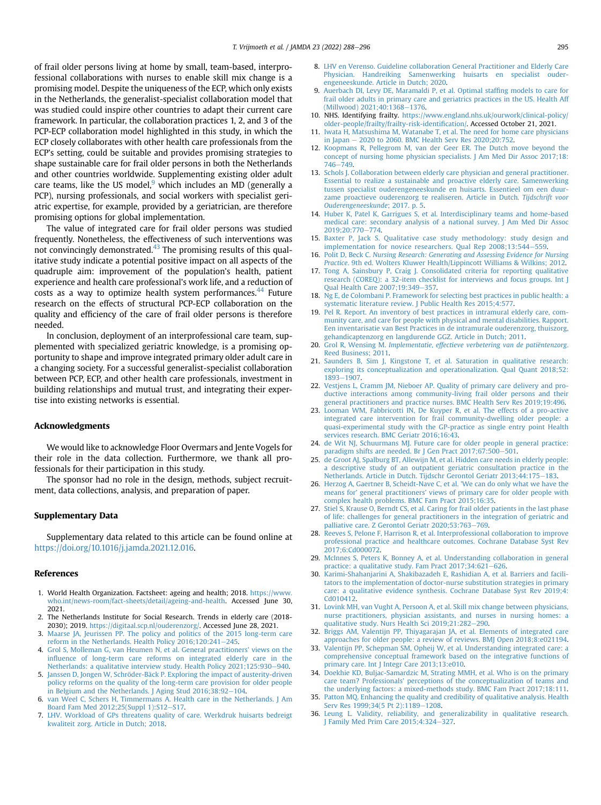of frail older persons living at home by small, team-based, interprofessional collaborations with nurses to enable skill mix change is a promising model. Despite the uniqueness of the ECP, which only exists in the Netherlands, the generalist-specialist collaboration model that was studied could inspire other countries to adapt their current care framework. In particular, the collaboration practices 1, 2, and 3 of the PCP-ECP collaboration model highlighted in this study, in which the ECP closely collaborates with other health care professionals from the ECP's setting, could be suitable and provides promising strategies to shape sustainable care for frail older persons in both the Netherlands and other countries worldwide. Supplementing existing older adult care teams, like the US model, $9$  which includes an MD (generally a PCP), nursing professionals, and social workers with specialist geriatric expertise, for example, provided by a geriatrician, are therefore promising options for global implementation.

The value of integrated care for frail older persons was studied frequently. Nonetheless, the effectiveness of such interventions was not convincingly demonstrated.<sup>[43](#page-8-6)</sup> The promising results of this qualitative study indicate a potential positive impact on all aspects of the quadruple aim: improvement of the population's health, patient experience and health care professional's work life, and a reduction of costs as a way to optimize health system performances.<sup>[44](#page-8-7)</sup> Future research on the effects of structural PCP-ECP collaboration on the quality and efficiency of the care of frail older persons is therefore needed.

In conclusion, deployment of an interprofessional care team, supplemented with specialized geriatric knowledge, is a promising opportunity to shape and improve integrated primary older adult care in a changing society. For a successful generalist-specialist collaboration between PCP, ECP, and other health care professionals, investment in building relationships and mutual trust, and integrating their expertise into existing networks is essential.

#### Acknowledgments

We would like to acknowledge Floor Overmars and Jente Vogels for their role in the data collection. Furthermore, we thank all professionals for their participation in this study.

The sponsor had no role in the design, methods, subject recruitment, data collections, analysis, and preparation of paper.

#### Supplementary Data

Supplementary data related to this article can be found online at [https://doi.org/10.1016/j.jamda.2021.12.016.](https://doi.org/10.1016/j.jamda.2021.12.016)

#### <span id="page-7-0"></span>References

- <span id="page-7-1"></span>1. World Health Organization. Factsheet: ageing and health; 2018. [https://www.](https://www.who.int/news-room/fact-sheets/detail/ageing-and-health) [who.int/news-room/fact-sheets/detail/ageing-and-health](https://www.who.int/news-room/fact-sheets/detail/ageing-and-health). Accessed June 30, 2021.
- <span id="page-7-2"></span>2. The Netherlands Institute for Social Research. Trends in elderly care (2018- 2030); 2019. <https://digitaal.scp.nl/ouderenzorg/>. Accessed June 28, 2021.
- <span id="page-7-3"></span>3. [Maarse JA, Jeurissen PP. The policy and politics of the 2015 long-term care](http://refhub.elsevier.com/S1525-8610(21)01068-9/sref3) reform in the Netherlands. Health Policy  $2016;120:241-245$ .
- 4. [Grol S, Molleman G, van Heumen N, et al. General practitioners](http://refhub.elsevier.com/S1525-8610(21)01068-9/sref4)' views on the infl[uence of long-term care reforms on integrated elderly care in the](http://refhub.elsevier.com/S1525-8610(21)01068-9/sref4) [Netherlands: a qualitative interview study. Health Policy 2021;125:930](http://refhub.elsevier.com/S1525-8610(21)01068-9/sref4)-[940](http://refhub.elsevier.com/S1525-8610(21)01068-9/sref4).
- <span id="page-7-5"></span><span id="page-7-4"></span>5. [Janssen D, Jongen W, Schröder-Bäck P. Exploring the impact of austerity-driven](http://refhub.elsevier.com/S1525-8610(21)01068-9/sref5) [policy reforms on the quality of the long-term care provision for older people](http://refhub.elsevier.com/S1525-8610(21)01068-9/sref5) [in Belgium and the Netherlands. J Aging Stud 2016;38:92](http://refhub.elsevier.com/S1525-8610(21)01068-9/sref5)-[104.](http://refhub.elsevier.com/S1525-8610(21)01068-9/sref5)
- <span id="page-7-6"></span>6. [van Weel C, Schers H, Timmermans A. Health care in the Netherlands. J Am](http://refhub.elsevier.com/S1525-8610(21)01068-9/sref6) [Board Fam Med 2012;25\(Suppl 1\):S12](http://refhub.elsevier.com/S1525-8610(21)01068-9/sref6)-[S17](http://refhub.elsevier.com/S1525-8610(21)01068-9/sref6).
- 7. [LHV. Workload of GPs threatens quality of care. Werkdruk huisarts bedreigt](http://refhub.elsevier.com/S1525-8610(21)01068-9/sref7) [kwaliteit zorg. Article in Dutch; 2018](http://refhub.elsevier.com/S1525-8610(21)01068-9/sref7).
- <span id="page-7-7"></span>8. [LHV en Verenso. Guideline collaboration General Practitioner and Elderly Care](http://refhub.elsevier.com/S1525-8610(21)01068-9/sref8) [Physician. Handreiking Samenwerking huisarts en specialist ouder](http://refhub.elsevier.com/S1525-8610(21)01068-9/sref8)[engeneeskunde. Article in Dutch; 2020](http://refhub.elsevier.com/S1525-8610(21)01068-9/sref8).
- <span id="page-7-8"></span>9. [Auerbach DI, Levy DE, Maramaldi P, et al. Optimal staf](http://refhub.elsevier.com/S1525-8610(21)01068-9/sref9)fing models to care for [frail older adults in primary care and geriatrics practices in the US. Health Aff](http://refhub.elsevier.com/S1525-8610(21)01068-9/sref9) Millwood) 2021;40:1368-[1376.](http://refhub.elsevier.com/S1525-8610(21)01068-9/sref9)
- 10. NHS. Identifying frailty. [https://www.england.nhs.uk/ourwork/clinical-policy/](https://www.england.nhs.uk/ourwork/clinical-policy/older-people/frailty/frailty-risk-identification/) [older-people/frailty/frailty-risk-identi](https://www.england.nhs.uk/ourwork/clinical-policy/older-people/frailty/frailty-risk-identification/)fication/. Accessed October 21, 2021.
- <span id="page-7-9"></span>11. [Iwata H, Matsushima M, Watanabe T, et al. The need for home care physicians](http://refhub.elsevier.com/S1525-8610(21)01068-9/sref11) [in Japan](http://refhub.elsevier.com/S1525-8610(21)01068-9/sref11)  $-$  [2020 to 2060. BMC Health Serv Res 2020;20:752.](http://refhub.elsevier.com/S1525-8610(21)01068-9/sref11)
- <span id="page-7-10"></span>12. [Koopmans R, Pellegrom M, van der Geer ER. The Dutch move beyond the](http://refhub.elsevier.com/S1525-8610(21)01068-9/sref12) [concept of nursing home physician specialists. J Am Med Dir Assoc 2017;18:](http://refhub.elsevier.com/S1525-8610(21)01068-9/sref12) [746](http://refhub.elsevier.com/S1525-8610(21)01068-9/sref12)-[749](http://refhub.elsevier.com/S1525-8610(21)01068-9/sref12).
- <span id="page-7-11"></span>13. [Schols J. Collaboration between elderly care physician and general practitioner.](http://refhub.elsevier.com/S1525-8610(21)01068-9/sref13) [Essential to realize a sustainable and proactive elderly care. Samenwerking](http://refhub.elsevier.com/S1525-8610(21)01068-9/sref13) [tussen specialist ouderengeneeskunde en huisarts. Essentieel om een duur](http://refhub.elsevier.com/S1525-8610(21)01068-9/sref13)[zame proactieve ouderenzorg te realiseren. Article in Dutch.](http://refhub.elsevier.com/S1525-8610(21)01068-9/sref13) Tijdschrift voor [Ouderengeneeskunde](http://refhub.elsevier.com/S1525-8610(21)01068-9/sref13); 2017. p. 5.
- <span id="page-7-12"></span>14. [Huber K, Patel K, Garrigues S, et al. Interdisciplinary teams and home-based](http://refhub.elsevier.com/S1525-8610(21)01068-9/sref14) [medical care: secondary analysis of a national survey. J Am Med Dir Assoc](http://refhub.elsevier.com/S1525-8610(21)01068-9/sref14) 2019:20:770-[774.](http://refhub.elsevier.com/S1525-8610(21)01068-9/sref14)
- <span id="page-7-13"></span>15. [Baxter P, Jack S. Qualitative case study methodology: study design and](http://refhub.elsevier.com/S1525-8610(21)01068-9/sref15) [implementation for novice researchers. Qual Rep 2008;13:544](http://refhub.elsevier.com/S1525-8610(21)01068-9/sref15)-[559](http://refhub.elsevier.com/S1525-8610(21)01068-9/sref15).
- <span id="page-7-14"></span>16. Polit D, Beck C. [Nursing Research: Generating and Assessing Evidence for Nursing](http://refhub.elsevier.com/S1525-8610(21)01068-9/sref16) Practice[. 9th ed. Wolters Kluwer Health/Lippincott Williams & Wilkins; 2012](http://refhub.elsevier.com/S1525-8610(21)01068-9/sref16).
- <span id="page-7-15"></span>17. [Tong A, Sainsbury P, Craig J. Consolidated criteria for reporting qualitative](http://refhub.elsevier.com/S1525-8610(21)01068-9/sref17) [research \(COREQ\): a 32-item checklist for interviews and focus groups. Int J](http://refhub.elsevier.com/S1525-8610(21)01068-9/sref17) [Qual Health Care 2007;19:349](http://refhub.elsevier.com/S1525-8610(21)01068-9/sref17)-[357.](http://refhub.elsevier.com/S1525-8610(21)01068-9/sref17)
- <span id="page-7-16"></span>18. [Ng E, de Colombani P. Framework for selecting best practices in public health: a](http://refhub.elsevier.com/S1525-8610(21)01068-9/sref18) [systematic literature review. J Public Health Res 2015;4:577.](http://refhub.elsevier.com/S1525-8610(21)01068-9/sref18)
- <span id="page-7-17"></span>19. [Pel R. Report. An inventory of best practices in intramural elderly care, com](http://refhub.elsevier.com/S1525-8610(21)01068-9/sref19)[munity care, and care for people with physical and mental disabilities. Rapport.](http://refhub.elsevier.com/S1525-8610(21)01068-9/sref19) [Een inventarisatie van Best Practices in de intramurale ouderenzorg, thuiszorg,](http://refhub.elsevier.com/S1525-8610(21)01068-9/sref19) [gehandicaptenzorg en langdurende GGZ. Article in Dutch; 2011.](http://refhub.elsevier.com/S1525-8610(21)01068-9/sref19)
- <span id="page-7-18"></span>20. Grol R, Wensing M. [Implementatie, effectieve verbetering van de patiëntenzorg](http://refhub.elsevier.com/S1525-8610(21)01068-9/sref20). [Reed Business; 2011](http://refhub.elsevier.com/S1525-8610(21)01068-9/sref20).
- <span id="page-7-19"></span>21. [Saunders B, Sim J, Kingstone T, et al. Saturation in qualitative research:](http://refhub.elsevier.com/S1525-8610(21)01068-9/sref21) [exploring its conceptualization and operationalization. Qual Quant 2018;52:](http://refhub.elsevier.com/S1525-8610(21)01068-9/sref21) [1893](http://refhub.elsevier.com/S1525-8610(21)01068-9/sref21)-[1907.](http://refhub.elsevier.com/S1525-8610(21)01068-9/sref21)
- <span id="page-7-20"></span>22. [Vestjens L, Cramm JM, Nieboer AP. Quality of primary care delivery and pro](http://refhub.elsevier.com/S1525-8610(21)01068-9/sref22)[ductive interactions among community-living frail older persons and their](http://refhub.elsevier.com/S1525-8610(21)01068-9/sref22) [general practitioners and practice nurses. BMC Health Serv Res 2019;19:496.](http://refhub.elsevier.com/S1525-8610(21)01068-9/sref22)
- <span id="page-7-21"></span>23. [Looman WM, Fabbricotti IN, De Kuyper R, et al. The effects of a pro-active](http://refhub.elsevier.com/S1525-8610(21)01068-9/sref23) [integrated care intervention for frail community-dwelling older people: a](http://refhub.elsevier.com/S1525-8610(21)01068-9/sref23) [quasi-experimental study with the GP-practice as single entry point Health](http://refhub.elsevier.com/S1525-8610(21)01068-9/sref23) [services research. BMC Geriatr 2016;16:43.](http://refhub.elsevier.com/S1525-8610(21)01068-9/sref23)
- <span id="page-7-22"></span>24. [de Wit NJ, Schuurmans MJ. Future care for older people in general practice:](http://refhub.elsevier.com/S1525-8610(21)01068-9/sref24) paradigm shifts are needed. Br J Gen Pract 2017:67:500-[501.](http://refhub.elsevier.com/S1525-8610(21)01068-9/sref24)
- <span id="page-7-23"></span>25. [de Groot AJ, Spalburg BT, Allewijn M, et al. Hidden care needs in elderly people:](http://refhub.elsevier.com/S1525-8610(21)01068-9/sref25) [a descriptive study of an outpatient geriatric consultation practice in the](http://refhub.elsevier.com/S1525-8610(21)01068-9/sref25) [Netherlands. Article in Dutch. Tijdschr Gerontol Geriatr 2013;44:175](http://refhub.elsevier.com/S1525-8610(21)01068-9/sref25)-[183](http://refhub.elsevier.com/S1525-8610(21)01068-9/sref25).
- <span id="page-7-24"></span>26. [Herzog A, Gaertner B, Scheidt-Nave C, et al.](http://refhub.elsevier.com/S1525-8610(21)01068-9/sref26) 'We can do only what we have the means for' general practitioners' [views of primary care for older people with](http://refhub.elsevier.com/S1525-8610(21)01068-9/sref26) [complex health problems. BMC Fam Pract 2015;16:35.](http://refhub.elsevier.com/S1525-8610(21)01068-9/sref26)
- <span id="page-7-25"></span>27. [Stiel S, Krause O, Berndt CS, et al. Caring for frail older patients in the last phase](http://refhub.elsevier.com/S1525-8610(21)01068-9/sref27) [of life: challenges for general practitioners in the integration of geriatric and](http://refhub.elsevier.com/S1525-8610(21)01068-9/sref27) [palliative care. Z Gerontol Geriatr 2020;53:763](http://refhub.elsevier.com/S1525-8610(21)01068-9/sref27)-[769](http://refhub.elsevier.com/S1525-8610(21)01068-9/sref27).
- <span id="page-7-26"></span>28. [Reeves S, Pelone F, Harrison R, et al. Interprofessional collaboration to improve](http://refhub.elsevier.com/S1525-8610(21)01068-9/sref29) [professional practice and healthcare outcomes. Cochrane Database Syst Rev](http://refhub.elsevier.com/S1525-8610(21)01068-9/sref29) [2017;6:Cd000072.](http://refhub.elsevier.com/S1525-8610(21)01068-9/sref29)
- <span id="page-7-27"></span>29. [McInnes S, Peters K, Bonney A, et al. Understanding collaboration in general](http://refhub.elsevier.com/S1525-8610(21)01068-9/sref30) practice: a qualitative study. Fam Pract  $2017;34:621-626$  $2017;34:621-626$ .
- <span id="page-7-28"></span>30. [Karimi-Shahanjarini A, Shakibazadeh E, Rashidian A, et al. Barriers and facili](http://refhub.elsevier.com/S1525-8610(21)01068-9/sref31)[tators to the implementation of doctor-nurse substitution strategies in primary](http://refhub.elsevier.com/S1525-8610(21)01068-9/sref31) [care: a qualitative evidence synthesis. Cochrane Database Syst Rev 2019;4:](http://refhub.elsevier.com/S1525-8610(21)01068-9/sref31) [Cd010412](http://refhub.elsevier.com/S1525-8610(21)01068-9/sref31).
- <span id="page-7-29"></span>31. [Lovink MH, van Vught A, Persoon A, et al. Skill mix change between physicians,](http://refhub.elsevier.com/S1525-8610(21)01068-9/sref32) [nurse practitioners, physician assistants, and nurses in nursing homes: a](http://refhub.elsevier.com/S1525-8610(21)01068-9/sref32) [qualitative study. Nurs Health Sci 2019;21:282](http://refhub.elsevier.com/S1525-8610(21)01068-9/sref32)-[290](http://refhub.elsevier.com/S1525-8610(21)01068-9/sref32).
- <span id="page-7-30"></span>32. [Briggs AM, Valentijn PP, Thiyagarajan JA, et al. Elements of integrated care](http://refhub.elsevier.com/S1525-8610(21)01068-9/sref33) [approaches for older people: a review of reviews. BMJ Open 2018;8:e021194](http://refhub.elsevier.com/S1525-8610(21)01068-9/sref33).
- <span id="page-7-31"></span>33. [Valentijn PP, Schepman SM, Opheij W, et al. Understanding integrated care: a](http://refhub.elsevier.com/S1525-8610(21)01068-9/sref34) [comprehensive conceptual framework based on the integrative functions of](http://refhub.elsevier.com/S1525-8610(21)01068-9/sref34) [primary care. Int J Integr Care 2013;13:e010.](http://refhub.elsevier.com/S1525-8610(21)01068-9/sref34)
- <span id="page-7-32"></span>34. [Doekhie KD, Buljac-Samardzic M, Strating MMH, et al. Who is on the primary](http://refhub.elsevier.com/S1525-8610(21)01068-9/sref35) care team? Professionals' [perceptions of the conceptualization of teams and](http://refhub.elsevier.com/S1525-8610(21)01068-9/sref35) [the underlying factors: a mixed-methods study. BMC Fam Pract 2017;18:111.](http://refhub.elsevier.com/S1525-8610(21)01068-9/sref35)
- <span id="page-7-33"></span>35. [Patton MQ. Enhancing the quality and credibility of qualitative analysis. Health](http://refhub.elsevier.com/S1525-8610(21)01068-9/sref36) [Serv Res 1999;34\(5 Pt 2\):1189](http://refhub.elsevier.com/S1525-8610(21)01068-9/sref36)-[1208](http://refhub.elsevier.com/S1525-8610(21)01068-9/sref36).
- <span id="page-7-34"></span>36. [Leung L. Validity, reliability, and generalizability in qualitative research.](http://refhub.elsevier.com/S1525-8610(21)01068-9/sref37) [J Family Med Prim Care 2015;4:324](http://refhub.elsevier.com/S1525-8610(21)01068-9/sref37)-[327.](http://refhub.elsevier.com/S1525-8610(21)01068-9/sref37)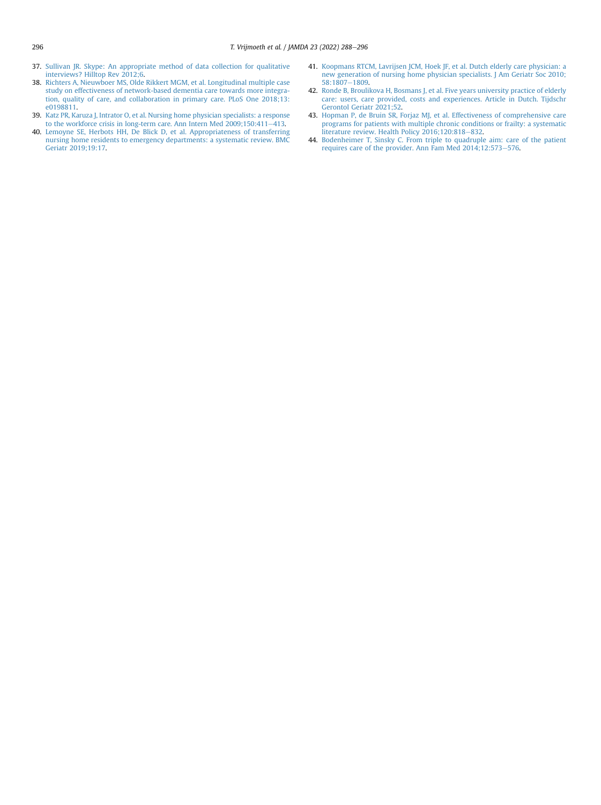- <span id="page-8-1"></span>37. [Sullivan JR. Skype: An appropriate method of data collection for qualitative](http://refhub.elsevier.com/S1525-8610(21)01068-9/sref38) [interviews? Hilltop Rev 2012;6.](http://refhub.elsevier.com/S1525-8610(21)01068-9/sref38)
- <span id="page-8-2"></span>38. [Richters A, Nieuwboer MS, Olde Rikkert MGM, et al. Longitudinal multiple case](http://refhub.elsevier.com/S1525-8610(21)01068-9/sref39) [study on effectiveness of network-based dementia care towards more integra](http://refhub.elsevier.com/S1525-8610(21)01068-9/sref39)[tion, quality of care, and collaboration in primary care. PLoS One 2018;13:](http://refhub.elsevier.com/S1525-8610(21)01068-9/sref39) [e0198811](http://refhub.elsevier.com/S1525-8610(21)01068-9/sref39).
- <span id="page-8-3"></span>39. [Katz PR, Karuza J, Intrator O, et al. Nursing home physician specialists: a response](http://refhub.elsevier.com/S1525-8610(21)01068-9/sref40) [to the workforce crisis in long-term care. Ann Intern Med 2009;150:411](http://refhub.elsevier.com/S1525-8610(21)01068-9/sref40)-[413](http://refhub.elsevier.com/S1525-8610(21)01068-9/sref40).
- <span id="page-8-4"></span>40. [Lemoyne SE, Herbots HH, De Blick D, et al. Appropriateness of transferring](http://refhub.elsevier.com/S1525-8610(21)01068-9/sref41) [nursing home residents to emergency departments: a systematic review. BMC](http://refhub.elsevier.com/S1525-8610(21)01068-9/sref41) [Geriatr 2019;19:17.](http://refhub.elsevier.com/S1525-8610(21)01068-9/sref41)
- 41. [Koopmans RTCM, Lavrijsen JCM, Hoek JF, et al. Dutch elderly care physician: a](http://refhub.elsevier.com/S1525-8610(21)01068-9/sref42) [new generation of nursing home physician specialists. J Am Geriatr Soc 2010;](http://refhub.elsevier.com/S1525-8610(21)01068-9/sref42) [58:1807](http://refhub.elsevier.com/S1525-8610(21)01068-9/sref42)-[1809.](http://refhub.elsevier.com/S1525-8610(21)01068-9/sref42)
- <span id="page-8-5"></span>42. [Ronde B, Broulikova H, Bosmans J, et al. Five years university practice of elderly](http://refhub.elsevier.com/S1525-8610(21)01068-9/sref43) [care: users, care provided, costs and experiences. Article in Dutch. Tijdschr](http://refhub.elsevier.com/S1525-8610(21)01068-9/sref43) [Gerontol Geriatr 2021;52.](http://refhub.elsevier.com/S1525-8610(21)01068-9/sref43)
- <span id="page-8-6"></span>43. [Hopman P, de Bruin SR, Forjaz MJ, et al. Effectiveness of comprehensive care](http://refhub.elsevier.com/S1525-8610(21)01068-9/sref44) [programs for patients with multiple chronic conditions or frailty: a systematic](http://refhub.elsevier.com/S1525-8610(21)01068-9/sref44) [literature review. Health Policy 2016;120:818](http://refhub.elsevier.com/S1525-8610(21)01068-9/sref44)-[832.](http://refhub.elsevier.com/S1525-8610(21)01068-9/sref44)
- <span id="page-8-7"></span><span id="page-8-0"></span>44. [Bodenheimer T, Sinsky C. From triple to quadruple aim: care of the patient](http://refhub.elsevier.com/S1525-8610(21)01068-9/sref45) [requires care of the provider. Ann Fam Med 2014;12:573](http://refhub.elsevier.com/S1525-8610(21)01068-9/sref45)–[576](http://refhub.elsevier.com/S1525-8610(21)01068-9/sref45).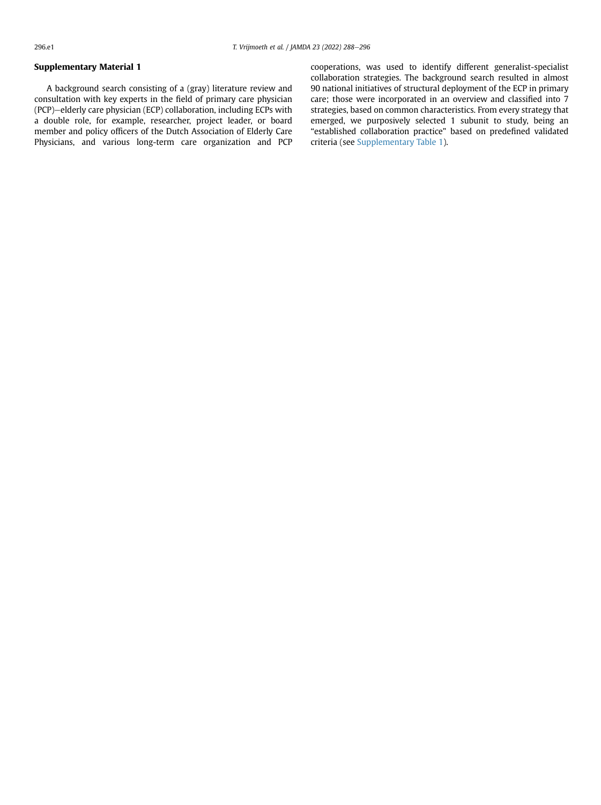## Supplementary Material 1

A background search consisting of a (gray) literature review and consultation with key experts in the field of primary care physician (PCP)-elderly care physician (ECP) collaboration, including ECPs with a double role, for example, researcher, project leader, or board member and policy officers of the Dutch Association of Elderly Care Physicians, and various long-term care organization and PCP cooperations, was used to identify different generalist-specialist collaboration strategies. The background search resulted in almost 90 national initiatives of structural deployment of the ECP in primary care; those were incorporated in an overview and classified into 7 strategies, based on common characteristics. From every strategy that emerged, we purposively selected 1 subunit to study, being an "established collaboration practice" based on predefined validated criteria (see [Supplementary Table 1\)](#page-10-0).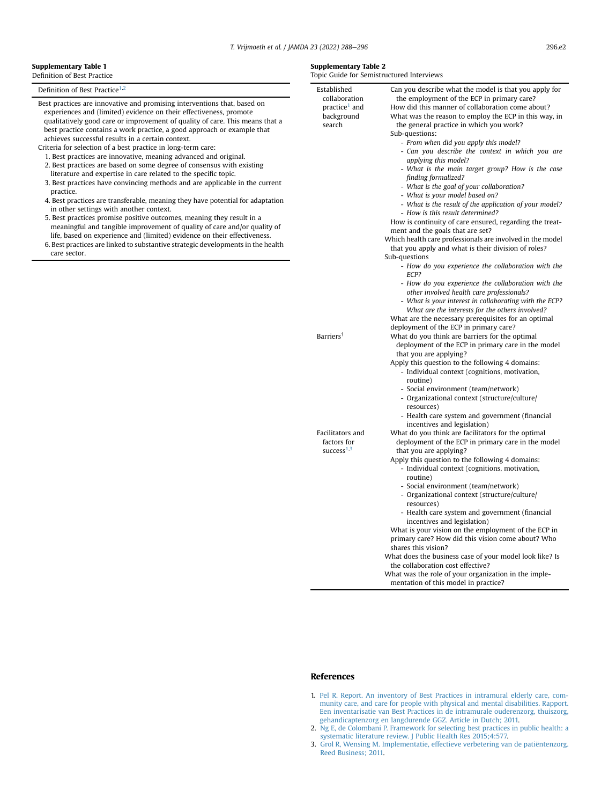#### <span id="page-10-0"></span>Supplementary Table 1 Definition of Best Practice

Definition of Best Practice<sup>[1,](#page-7-0)[2](#page-7-1)</sup>

- Best practices are innovative and promising interventions that, based on experiences and (limited) evidence on their effectiveness, promote qualitatively good care or improvement of quality of care. This means that a best practice contains a work practice, a good approach or example that achieves successful results in a certain context.
- Criteria for selection of a best practice in long-term care:
- 1. Best practices are innovative, meaning advanced and original.
- 2. Best practices are based on some degree of consensus with existing literature and expertise in care related to the specific topic.
- 3. Best practices have convincing methods and are applicable in the current practice.
- 4. Best practices are transferable, meaning they have potential for adaptation in other settings with another context.
- 5. Best practices promise positive outcomes, meaning they result in a meaningful and tangible improvement of quality of care and/or quality of life, based on experience and (limited) evidence on their effectiveness.
- 6. Best practices are linked to substantive strategic developments in the health care sector.

#### <span id="page-10-1"></span>Supplementary Table 2

Topic Guide for Semistructured Interviews

| Established<br>collaboration | Can you describe what the model is that you apply for<br>the employment of the ECP in primary care? |
|------------------------------|-----------------------------------------------------------------------------------------------------|
| practice <sup>1</sup> and    | How did this manner of collaboration come about?                                                    |
| background                   | What was the reason to employ the ECP in this way, in                                               |
| search                       | the general practice in which you work?                                                             |
|                              | Sub-questions:                                                                                      |
|                              | - From when did you apply this model?                                                               |
|                              | - Can you describe the context in which you are                                                     |
|                              | applying this model?                                                                                |
|                              | - What is the main target group? How is the case                                                    |
|                              | finding formalized?                                                                                 |
|                              | - What is the goal of your collaboration?                                                           |
|                              | - What is your model based on?                                                                      |
|                              | - What is the result of the application of your model?                                              |
|                              | - How is this result determined?                                                                    |
|                              | How is continuity of care ensured, regarding the treat-                                             |
|                              | ment and the goals that are set?                                                                    |
|                              | Which health care professionals are involved in the model                                           |
|                              | that you apply and what is their division of roles?<br>Sub-questions                                |
|                              | - How do you experience the collaboration with the<br>ECP?                                          |
|                              | - How do you experience the collaboration with the<br>other involved health care professionals?     |
|                              | - What is your interest in collaborating with the ECP?                                              |
|                              | What are the interests for the others involved?                                                     |
|                              | What are the necessary prerequisites for an optimal                                                 |
|                              | deployment of the ECP in primary care?                                                              |
| Barriers <sup>†</sup>        | What do you think are barriers for the optimal                                                      |
|                              | deployment of the ECP in primary care in the model                                                  |
|                              | that you are applying?                                                                              |
|                              | Apply this question to the following 4 domains:                                                     |
|                              | - Individual context (cognitions, motivation,                                                       |
|                              | routine)                                                                                            |
|                              | - Social environment (team/network)                                                                 |
|                              | - Organizational context (structure/culture/                                                        |
|                              | resources)                                                                                          |
|                              | - Health care system and government (financial                                                      |
|                              | incentives and legislation)                                                                         |
| Facilitators and             | What do you think are facilitators for the optimal                                                  |
| factors for                  | deployment of the ECP in primary care in the model                                                  |
| success $^{1,3}$             | that you are applying?                                                                              |
|                              | Apply this question to the following 4 domains:                                                     |
|                              | - Individual context (cognitions, motivation,<br>routine)                                           |
|                              | - Social environment (team/network)                                                                 |
|                              | - Organizational context (structure/culture/                                                        |
|                              | resources)                                                                                          |
|                              | - Health care system and government (financial                                                      |
|                              | incentives and legislation)                                                                         |
|                              | What is your vision on the employment of the ECP in                                                 |
|                              | primary care? How did this vision come about? Who<br>shares this vision?                            |
|                              | What does the business case of your model look like? Is                                             |
|                              | the collaboration cost effective?                                                                   |
|                              | What was the role of your organization in the imple-                                                |
|                              |                                                                                                     |
|                              | mentation of this model in practice?                                                                |

#### References

- 1. [Pel R. Report. An inventory of Best Practices in intramural elderly care, com](http://refhub.elsevier.com/S1525-8610(21)01068-9/sref46)[munity care, and care for people with physical and mental disabilities. Rapport.](http://refhub.elsevier.com/S1525-8610(21)01068-9/sref46) [Een inventarisatie van Best Practices in de intramurale ouderenzorg, thuiszorg,](http://refhub.elsevier.com/S1525-8610(21)01068-9/sref46) [gehandicaptenzorg en langdurende GGZ. Article in Dutch; 2011.](http://refhub.elsevier.com/S1525-8610(21)01068-9/sref46)
- 2. [Ng E, de Colombani P. Framework for selecting best practices in public health: a](http://refhub.elsevier.com/S1525-8610(21)01068-9/sref47) [systematic literature review. J Public Health Res 2015;4:577.](http://refhub.elsevier.com/S1525-8610(21)01068-9/sref47)
- 3. [Grol R, Wensing M. Implementatie, effectieve verbetering van de patiëntenzorg.](http://refhub.elsevier.com/S1525-8610(21)01068-9/sref48) [Reed Business; 2011.](http://refhub.elsevier.com/S1525-8610(21)01068-9/sref48)